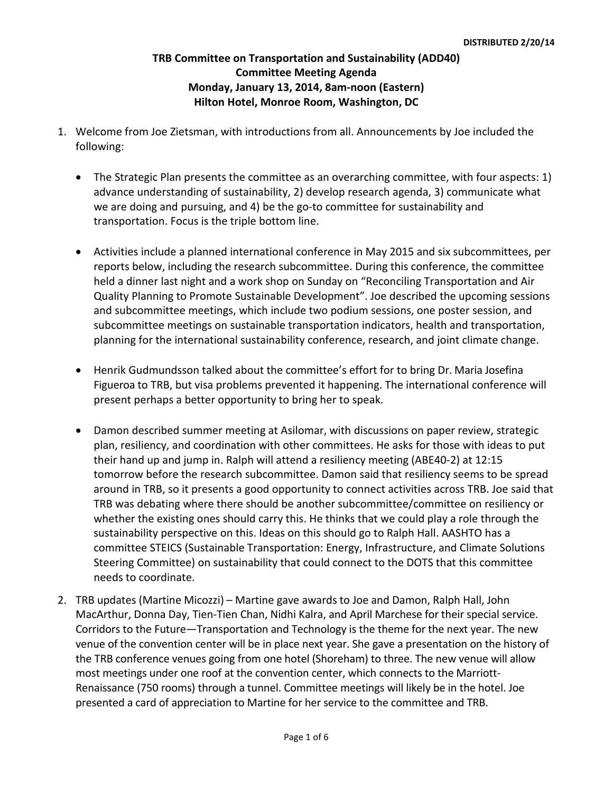## **TRB Committee on Transportation and Sustainability (ADD40) Committee Meeting Agenda Monday, January 13, 2014, 8am-noon (Eastern) Hilton Hotel, Monroe Room, Washington, DC**

- 1. Welcome from Joe Zietsman, with introductions from all. Announcements by Joe included the following:
	- The Strategic Plan presents the committee as an overarching committee, with four aspects: 1) advance understanding of sustainability, 2) develop research agenda, 3) communicate what we are doing and pursuing, and 4) be the go-to committee for sustainability and transportation. Focus is the triple bottom line.
	- Activities include a planned international conference in May 2015 and six subcommittees, per reports below, including the research subcommittee. During this conference, the committee held a dinner last night and a work shop on Sunday on "Reconciling Transportation and Air Quality Planning to Promote Sustainable Development". Joe described the upcoming sessions and subcommittee meetings, which include two podium sessions, one poster session, and subcommittee meetings on sustainable transportation indicators, health and transportation, planning for the international sustainability conference, research, and joint climate change.
	- Henrik Gudmundsson talked about the committee's effort for to bring Dr. Maria Josefina Figueroa to TRB, but visa problems prevented it happening. The international conference will present perhaps a better opportunity to bring her to speak.
	- Damon described summer meeting at Asilomar, with discussions on paper review, strategic plan, resiliency, and coordination with other committees. He asks for those with ideas to put their hand up and jump in. Ralph will attend a resiliency meeting (ABE40-2) at 12:15 tomorrow before the research subcommittee. Damon said that resiliency seems to be spread around in TRB, so it presents a good opportunity to connect activities across TRB. Joe said that TRB was debating where there should be another subcommittee/committee on resiliency or whether the existing ones should carry this. He thinks that we could play a role through the sustainability perspective on this. Ideas on this should go to Ralph Hall. AASHTO has a committee STEICS (Sustainable Transportation: Energy, Infrastructure, and Climate Solutions Steering Committee) on sustainability that could connect to the DOTS that this committee needs to coordinate.
- 2. TRB updates (Martine Micozzi) Martine gave awards to Joe and Damon, Ralph Hall, John MacArthur, Donna Day, Tien-Tien Chan, Nidhi Kalra, and April Marchese for their special service. Corridors to the Future—Transportation and Technology is the theme for the next year. The new venue of the convention center will be in place next year. She gave a presentation on the history of the TRB conference venues going from one hotel (Shoreham) to three. The new venue will allow most meetings under one roof at the convention center, which connects to the Marriott-Renaissance (750 rooms) through a tunnel. Committee meetings will likely be in the hotel. Joe presented a card of appreciation to Martine for her service to the committee and TRB.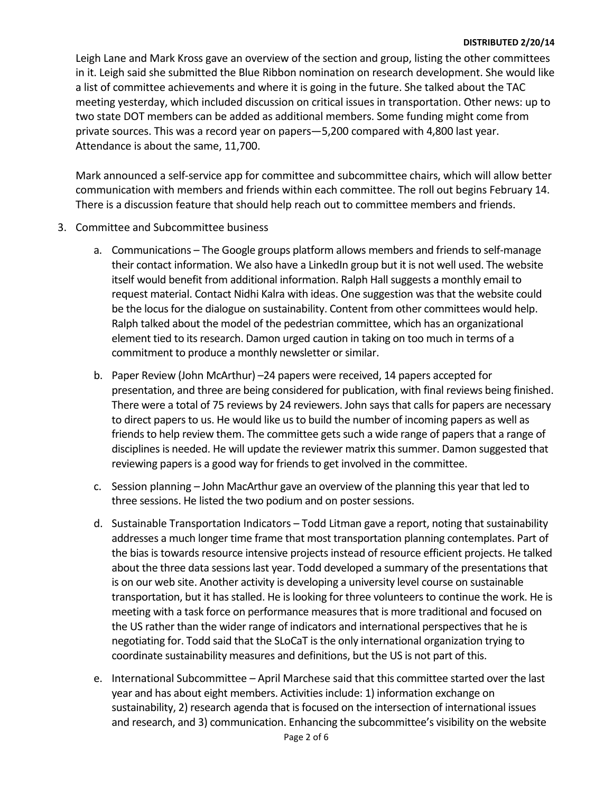#### **DISTRIBUTED 2/20/14**

Leigh Lane and Mark Kross gave an overview of the section and group, listing the other committees in it. Leigh said she submitted the Blue Ribbon nomination on research development. She would like a list of committee achievements and where it is going in the future. She talked about the TAC meeting yesterday, which included discussion on critical issues in transportation. Other news: up to two state DOT members can be added as additional members. Some funding might come from private sources. This was a record year on papers—5,200 compared with 4,800 last year. Attendance is about the same, 11,700.

Mark announced a self-service app for committee and subcommittee chairs, which will allow better communication with members and friends within each committee. The roll out begins February 14. There is a discussion feature that should help reach out to committee members and friends.

- 3. Committee and Subcommittee business
	- a. Communications The Google groups platform allows members and friends to self-manage their contact information. We also have a LinkedIn group but it is not well used. The website itself would benefit from additional information. Ralph Hall suggests a monthly email to request material. Contact Nidhi Kalra with ideas. One suggestion was that the website could be the locus for the dialogue on sustainability. Content from other committees would help. Ralph talked about the model of the pedestrian committee, which has an organizational element tied to its research. Damon urged caution in taking on too much in terms of a commitment to produce a monthly newsletter or similar.
	- b. Paper Review (John McArthur) –24 papers were received, 14 papers accepted for presentation, and three are being considered for publication, with final reviews being finished. There were a total of 75 reviews by 24 reviewers. John says that calls for papers are necessary to direct papers to us. He would like us to build the number of incoming papers as well as friends to help review them. The committee gets such a wide range of papers that a range of disciplines is needed. He will update the reviewer matrix this summer. Damon suggested that reviewing papers is a good way for friends to get involved in the committee.
	- c. Session planning John MacArthur gave an overview of the planning this year that led to three sessions. He listed the two podium and on poster sessions.
	- d. Sustainable Transportation Indicators Todd Litman gave a report, noting that sustainability addresses a much longer time frame that most transportation planning contemplates. Part of the bias is towards resource intensive projects instead of resource efficient projects. He talked about the three data sessions last year. Todd developed a summary of the presentations that is on our web site. Another activity is developing a university level course on sustainable transportation, but it has stalled. He is looking for three volunteers to continue the work. He is meeting with a task force on performance measures that is more traditional and focused on the US rather than the wider range of indicators and international perspectives that he is negotiating for. Todd said that the SLoCaT is the only international organization trying to coordinate sustainability measures and definitions, but the US is not part of this.
	- e. International Subcommittee April Marchese said that this committee started over the last year and has about eight members. Activities include: 1) information exchange on sustainability, 2) research agenda that is focused on the intersection of international issues and research, and 3) communication. Enhancing the subcommittee's visibility on the website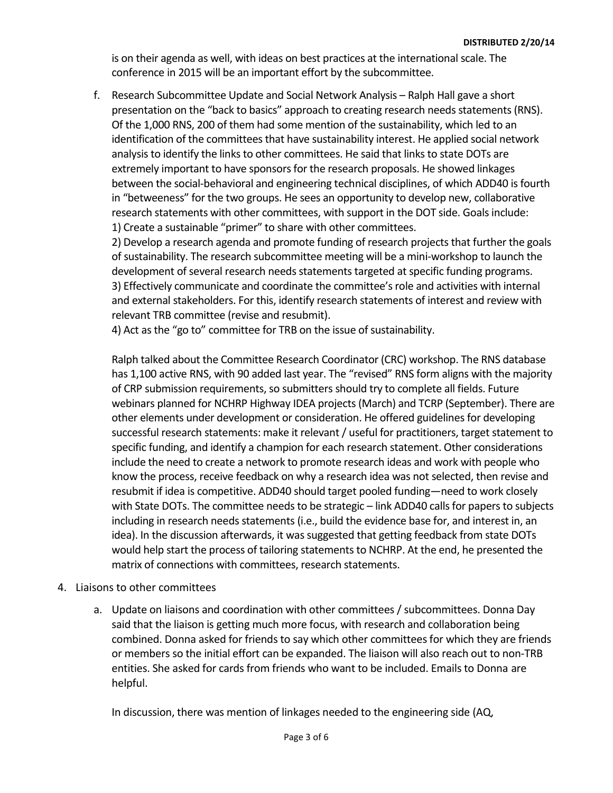is on their agenda as well, with ideas on best practices at the international scale. The conference in 2015 will be an important effort by the subcommittee.

f. Research Subcommittee Update and Social Network Analysis – Ralph Hall gave a short presentation on the "back to basics" approach to creating research needs statements(RNS). Of the 1,000 RNS, 200 of them had some mention of the sustainability, which led to an identification of the committees that have sustainability interest. He applied social network analysis to identify the links to other committees. He said that links to state DOTs are extremely important to have sponsors for the research proposals. He showed linkages between the social-behavioral and engineering technical disciplines, of which ADD40 is fourth in "betweeness" for the two groups. He sees an opportunity to develop new, collaborative research statements with other committees, with support in the DOT side. Goals include: 1) Create a sustainable "primer" to share with other committees.

2) Develop a research agenda and promote funding of research projects that further the goals of sustainability. The research subcommittee meeting will be a mini-workshop to launch the development of several research needs statements targeted at specific funding programs. 3) Effectively communicate and coordinate the committee's role and activities with internal and external stakeholders. For this, identify research statements of interest and review with relevant TRB committee (revise and resubmit).

4) Act as the "go to" committee for TRB on the issue of sustainability.

Ralph talked about the Committee Research Coordinator (CRC) workshop. The RNS database has 1,100 active RNS, with 90 added last year. The "revised" RNS form aligns with the majority of CRP submission requirements, so submitters should try to complete all fields. Future webinars planned for NCHRP Highway IDEA projects (March) and TCRP (September). There are other elements under development or consideration. He offered guidelines for developing successful research statements: make it relevant / useful for practitioners, target statement to specific funding, and identify a champion for each research statement. Other considerations include the need to create a network to promote research ideas and work with people who know the process, receive feedback on why a research idea was not selected, then revise and resubmit if idea is competitive. ADD40 should target pooled funding—need to work closely with State DOTs. The committee needs to be strategic – link ADD40 calls for papers to subjects including in research needs statements (i.e., build the evidence base for, and interest in, an idea). In the discussion afterwards, it was suggested that getting feedback from state DOTs would help start the process of tailoring statements to NCHRP. At the end, he presented the matrix of connections with committees, research statements.

### 4. Liaisons to other committees

a. Update on liaisons and coordination with other committees / subcommittees. Donna Day said that the liaison is getting much more focus, with research and collaboration being combined. Donna asked for friends to say which other committees for which they are friends or members so the initial effort can be expanded. The liaison will also reach out to non-TRB entities. She asked for cards from friends who want to be included. Emails to Donna are helpful.

In discussion, there was mention of linkages needed to the engineering side (AQ,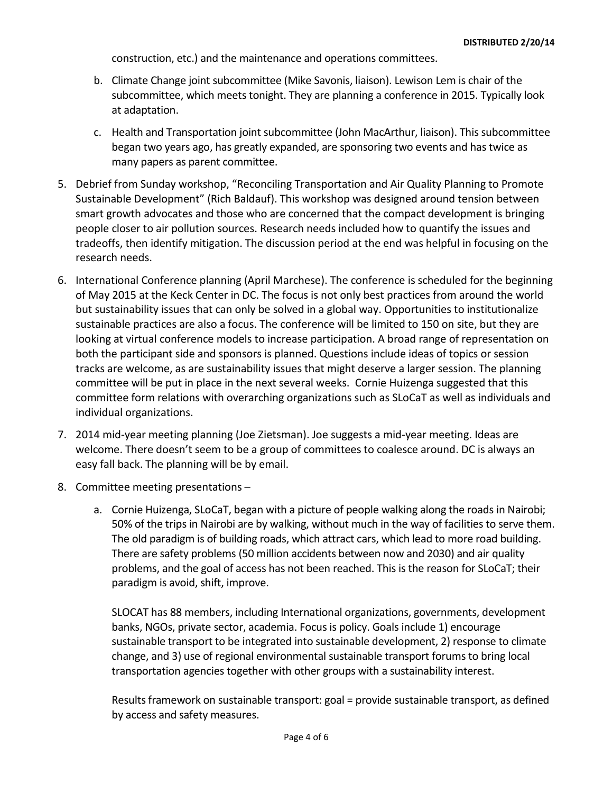construction, etc.) and the maintenance and operations committees.

- b. Climate Change joint subcommittee (Mike Savonis, liaison). Lewison Lem is chair of the subcommittee, which meets tonight. They are planning a conference in 2015. Typically look at adaptation.
- c. Health and Transportation joint subcommittee (John MacArthur, liaison). This subcommittee began two years ago, has greatly expanded, are sponsoring two events and has twice as many papers as parent committee.
- 5. Debrief from Sunday workshop, "Reconciling Transportation and Air Quality Planning to Promote Sustainable Development" (Rich Baldauf). This workshop was designed around tension between smart growth advocates and those who are concerned that the compact development is bringing people closer to air pollution sources. Research needs included how to quantify the issues and tradeoffs, then identify mitigation. The discussion period at the end was helpful in focusing on the research needs.
- 6. International Conference planning (April Marchese). The conference is scheduled for the beginning of May 2015 at the Keck Center in DC. The focus is not only best practices from around the world but sustainability issues that can only be solved in a global way. Opportunities to institutionalize sustainable practices are also a focus. The conference will be limited to 150 on site, but they are looking at virtual conference models to increase participation. A broad range of representation on both the participant side and sponsors is planned. Questions include ideas of topics or session tracks are welcome, as are sustainability issues that might deserve a larger session. The planning committee will be put in place in the next several weeks. Cornie Huizenga suggested that this committee form relations with overarching organizations such as SLoCaT as well as individuals and individual organizations.
- 7. 2014 mid-year meeting planning (Joe Zietsman). Joe suggests a mid-year meeting. Ideas are welcome. There doesn't seem to be a group of committees to coalesce around. DC is always an easy fall back. The planning will be by email.
- 8. Committee meeting presentations
	- a. Cornie Huizenga, SLoCaT, began with a picture of people walking along the roads in Nairobi; 50% of the trips in Nairobi are by walking, without much in the way of facilities to serve them. The old paradigm is of building roads, which attract cars, which lead to more road building. There are safety problems (50 million accidents between now and 2030) and air quality problems, and the goal of access has not been reached. This is the reason for SLoCaT; their paradigm is avoid, shift, improve.

SLOCAT has 88 members, including International organizations, governments, development banks, NGOs, private sector, academia. Focus is policy. Goals include 1) encourage sustainable transport to be integrated into sustainable development, 2) response to climate change, and 3) use of regional environmental sustainable transport forums to bring local transportation agencies together with other groups with a sustainability interest.

Results framework on sustainable transport: goal = provide sustainable transport, as defined by access and safety measures.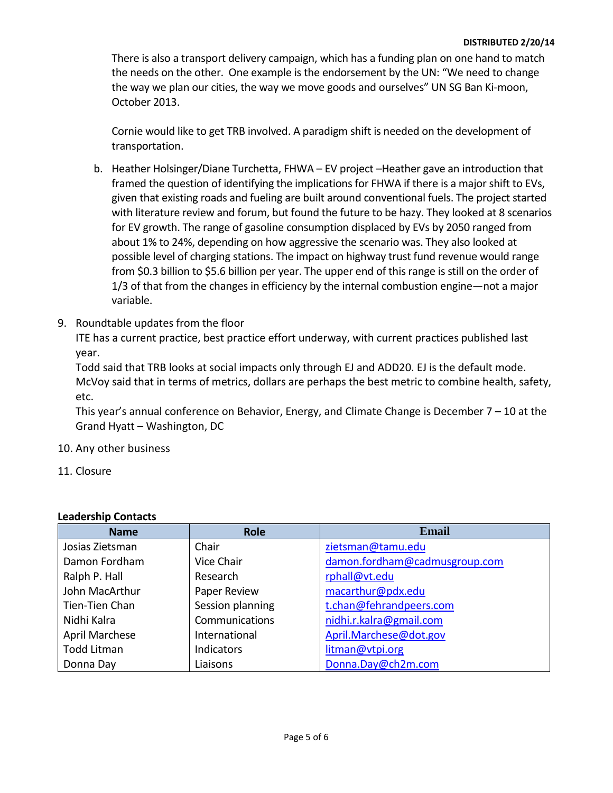There is also a transport delivery campaign, which has a funding plan on one hand to match the needs on the other. One example is the endorsement by the UN: "We need to change the way we plan our cities, the way we move goods and ourselves" UN SG Ban Ki-moon, October 2013.

Cornie would like to get TRB involved. A paradigm shift is needed on the development of transportation.

- b. Heather Holsinger/Diane Turchetta, FHWA EV project –Heather gave an introduction that framed the question of identifying the implications for FHWA if there is a major shift to EVs, given that existing roads and fueling are built around conventional fuels. The project started with literature review and forum, but found the future to be hazy. They looked at 8 scenarios for EV growth. The range of gasoline consumption displaced by EVs by 2050 ranged from about 1% to 24%, depending on how aggressive the scenario was. They also looked at possible level of charging stations. The impact on highway trust fund revenue would range from \$0.3 billion to \$5.6 billion per year. The upper end of this range is still on the order of 1/3 of that from the changes in efficiency by the internal combustion engine—not a major variable.
- 9. Roundtable updates from the floor

ITE has a current practice, best practice effort underway, with current practices published last year.

Todd said that TRB looks at social impacts only through EJ and ADD20. EJ is the default mode. McVoy said that in terms of metrics, dollars are perhaps the best metric to combine health, safety, etc.

This year's annual conference on Behavior, Energy, and Climate Change is December 7 – 10 at the Grand Hyatt – Washington, DC

- 10. Any other business
- 11. Closure

| <b>Name</b>           | <b>Role</b>       | <b>Email</b>                  |
|-----------------------|-------------------|-------------------------------|
| Josias Zietsman       | Chair             | zietsman@tamu.edu             |
| Damon Fordham         | Vice Chair        | damon.fordham@cadmusgroup.com |
| Ralph P. Hall         | Research          | rphall@vt.edu                 |
| John MacArthur        | Paper Review      | macarthur@pdx.edu             |
| Tien-Tien Chan        | Session planning  | t.chan@fehrandpeers.com       |
| Nidhi Kalra           | Communications    | nidhi.r.kalra@gmail.com       |
| <b>April Marchese</b> | International     | April.Marchese@dot.gov        |
| <b>Todd Litman</b>    | <b>Indicators</b> | litman@vtpi.org               |
| Donna Day             | Liaisons          | Donna.Day@ch2m.com            |

#### **Leadership Contacts**